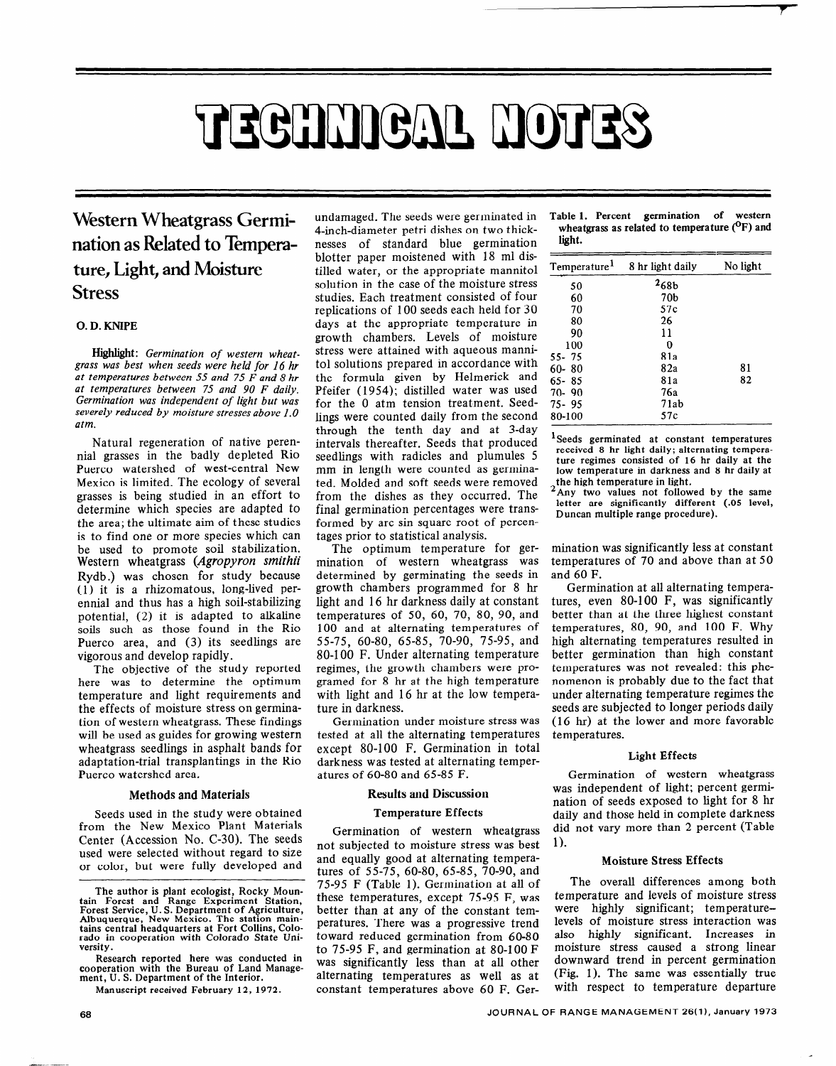# TECHNICAL NOTES

## **Western Wheatgrass Germination as Related to Emperature, Light, and Moisture Stress**

#### 0. D. KNIPE

Highlight: *Germination of western wheat***grass** *was best when seeds were held for 16 hr at temperatures between 55 and 75 F and 8 hr at temperatures between 75 and 90 F daily. Germination was independent of light but was severely reduced by moisture stresses above I.0 atm.* 

Natural regeneration of native perennial grasses in the badly depleted Rio Puerco watershed of west-central New Mexico is limited. The ecology of several grasses is being studied in an effort to determine which species are adapted to the area; the ultimate aim of these studies is to find one or more species which can be used to promote soil stabilization. Western wheatgrass *(Agropyron smithii*  Rydb.) was chosen for study because (1) it is a rhizomatous, long-lived perennial and thus has a high soil-stabilizing potential, (2) it is adapted to alkaline soils such as those found in the Rio Puerco area, and (3) its seedlings are vigorous and develop rapidly.

The objective of the study reported here was to determine the optimum temperature and light requirements and the effects of moisture stress on germination of western wheatgrass. These findings will be used as guides for growing western wheatgrass seedlings in asphalt bands for adaptation-trial transplantings in the Rio Puerco watershed area.

#### Methods and Materials

Seeds used in the study were obtained from the New Mexico Plant Materials Center (Accession No. C-30). The seeds used were selected without regard to size or color, but were fully developed and

**Research reported here was conducted in cooperation with the Bureau of Land Management, U. S. Department of the Interior.** 

undamaged. The seeds were germinated in 4-inch-diameter petri dishes on two thicknesses of standard blue germination blotter paper moistened with 18 ml distilled water, or the appropriate mannitol solution in the case of the moisture stress studies. Each treatment consisted of four replications of 100 seeds each held for 30 days at the appropriate temperature in growth chambers. Levels of moisture stress were attained with aqueous mannito1 solutions prepared in accordance with the formula given by Helmerick and Pfeifer (1954); distilled water was used for the 0 atm tension treatment. Seedlings were counted daily from the second through the tenth day and at 3-day intervals thereafter. Seeds that produced seedlings with radicles and plumules 5 mm in length were counted as germinated. Molded and soft seeds were removed from the dishes as they occurred. The final germination percentages were transformed by arc sin square root of percentages prior to statistical analysis.

The optimum temperature for germination of western wheatgrass was determined by germinating the seeds in growth chambers programmed for 8 hr light and 16 hr darkness daily at constant temperatures of 50, 60, 70, 80, 90, and 100 and at alternating temperatures of 55-75, 60-80, 65-85, 70-90, 75-95, and 80-l 00 F. Under alternating temperature regimes, the growth chambers were programed for 8 hr at the high temperature with light and 16 hr at the low temperature in darkness.

Germination under moisture stress was tested at all the alternating temperatures except 80-100 F. Germination in total darkness was tested at alternating temperatures of 60-80 and 65-85 F.

#### Results and Discussion

#### Temperature Effects

Germination of western wheatgrass not subjected to moisture stress was best and equally good at alternating temperatures of 55-75, 60-80, 65-85, 70-90, and 75-95 F (Table 1). Germination at all of these temperatures, except 75-95 F, **was**  better than at any of the constant temperatures. There was a progressive trend toward reduced germination from 60-80 to 75-95 F, and germination at 80-100 F was significantly less than at all other alternating temperatures as well as at constant temperatures above 60 F. Ger-

**Table** 1. Percent **germination of western**  wheatgrass as related to temperature <sup>(O</sup>F) and **light.** 

| Temperature <sup>1</sup> | 8 hr light daily | No light |
|--------------------------|------------------|----------|
| 50                       | 268 <sub>b</sub> |          |
| 60                       | 70b              |          |
| 70                       | 57c              |          |
| 80                       | 26               |          |
| 90                       | 11               |          |
| 100                      | 0                |          |
| 55-75                    | 81а              |          |
| $60 - 80$                | 82a              | 81       |
| $65 - 85$                | 81a              | 82       |
| $70 - 90$                | 76a              |          |
| $75 - 95$                | 71ab             |          |
| 80-100                   | 57c              |          |

'Seeds **germinated at constant temperatures received 8 hr light daily; alternating temperature regimes consisted of** 16 **hr daily at the low temperature in darkness and 8 hr daily at the high temperature in light.** 

**2Any two values not followed by the same letter are significantly different (.05 level, Duncan multiple range procedure).** 

**mination was significantly** less at constant temperatures of 70 and above than at 50 and 60 F.

Germination at all alternating temperatures, even 80-100 F, was significantly better than at the three highest constant temperatures, 80, 90, and 100 F. Why high alternating temperatures resulted in better germination than high constant temperatures was not revealed: this phenomenon is probably due to the fact that under alternating temperature regimes the seeds are subjected to longer periods daily (16 hr) at the lower and more favorable temperatures.

#### Light Effects

Germination of western wheatgrass was independent of light; percent germination of seeds exposed to light for 8 hr daily and those held in complete darkness did not vary more than 2 percent (Table 1).

#### Moisture Stress Effects

The overall differences among both temperature and levels of moisture stress were highly significant; temperaturelevels of moisture stress interaction was also highly significant. Increases in moisture stress caused a strong linear downward trend in percent germination (Fig. 1). The same was essentially true with respect to temperature departure

**The author is plant ecologist, Rocky Moun-**Figure and Bank ecologist, Novari Theorem Station,<br>Forest Service, U.S. Department of Agriculture<br>Abbuquerque, New Mexico. The station main-<br>tains central headquarters at Fort Collins, Colo<br>rado in cooperation with Colorad

**Manuscript received February 12, 1972.**